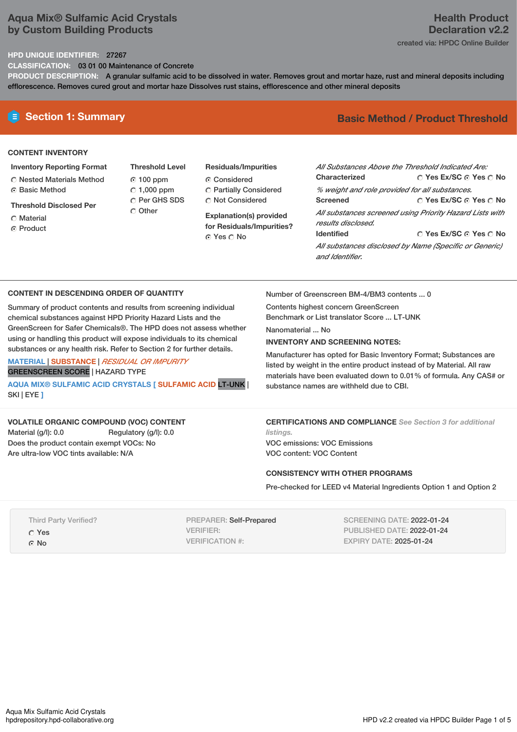# **Aqua Mix® Sulfamic Acid Crystals by Custom Building Products**

# **Health Product Declaration v2.2**

created via: HPDC Online Builder

## **HPD UNIQUE IDENTIFIER:** 27267

**CLASSIFICATION:** 03 01 00 Maintenance of Concrete

**PRODUCT DESCRIPTION:** A granular sulfamic acid to be dissolved in water. Removes grout and mortar haze, rust and mineral deposits including efflorescence. Removes cured grout and mortar haze Dissolves rust stains, efflorescence and other mineral deposits

### **CONTENT INVENTORY**

- **Inventory Reporting Format**
- Nested Materials Method **G** Basic Method
- **Threshold Disclosed Per**
- Material
- ⊙ Product

**Threshold Level** 100 ppm  $\degree$  1,000 ppm C Per GHS SDS Other

**Residuals/Impurities** Considered Partially Considered Not Considered

**Explanation(s) provided for Residuals/Impurities?** Yes No

# **E** Section 1: Summary **Basic** Method / Product Threshold

| All Substances Above the Threshold Indicated Are: |                                                          |
|---------------------------------------------------|----------------------------------------------------------|
| Characterized                                     | ◯ Yes Ex/SC ⊙ Yes ◯ No                                   |
| % weight and role provided for all substances.    |                                                          |
| <b>Screened</b>                                   | ∩ Yes Ex/SC ∩ Yes ∩ No                                   |
|                                                   | All substances screened using Priority Hazard Lists with |
| results disclosed.                                |                                                          |
| <b>Identified</b>                                 | ∩ Yes Ex/SC ∩ Yes ∩ No                                   |
| and Identifier                                    | All substances disclosed by Name (Specific or Generic)   |

### **CONTENT IN DESCENDING ORDER OF QUANTITY**

Summary of product contents and results from screening individual chemical substances against HPD Priority Hazard Lists and the GreenScreen for Safer Chemicals®. The HPD does not assess whether using or handling this product will expose individuals to its chemical substances or any health risk. Refer to Section 2 for further details.

**MATERIAL** | **SUBSTANCE** | *RESIDUAL OR IMPURITY* GREENSCREEN SCORE | HAZARD TYPE

**AQUA MIX® SULFAMIC ACID CRYSTALS [ SULFAMIC ACID** LT-UNK | SKI | EYE **]**

# **VOLATILE ORGANIC COMPOUND (VOC) CONTENT**

Material (g/l): 0.0 Regulatory (g/l): 0.0 Does the product contain exempt VOCs: No Are ultra-low VOC tints available: N/A

Number of Greenscreen BM-4/BM3 contents ... 0

Contents highest concern GreenScreen Benchmark or List translator Score ... LT-UNK

Nanomaterial ... No

### **INVENTORY AND SCREENING NOTES:**

Manufacturer has opted for Basic Inventory Format; Substances are listed by weight in the entire product instead of by Material. All raw materials have been evaluated down to 0.01% of formula. Any CAS# or substance names are withheld due to CBI.

**CERTIFICATIONS AND COMPLIANCE** *See Section 3 for additional listings.*

VOC emissions: VOC Emissions VOC content: VOC Content

### **CONSISTENCY WITH OTHER PROGRAMS**

Pre-checked for LEED v4 Material Ingredients Option 1 and Option 2

Third Party Verified? Yes G No

PREPARER: Self-Prepared VERIFIER: VERIFICATION #:

SCREENING DATE: 2022-01-24 PUBLISHED DATE: 2022-01-24 EXPIRY DATE: 2025-01-24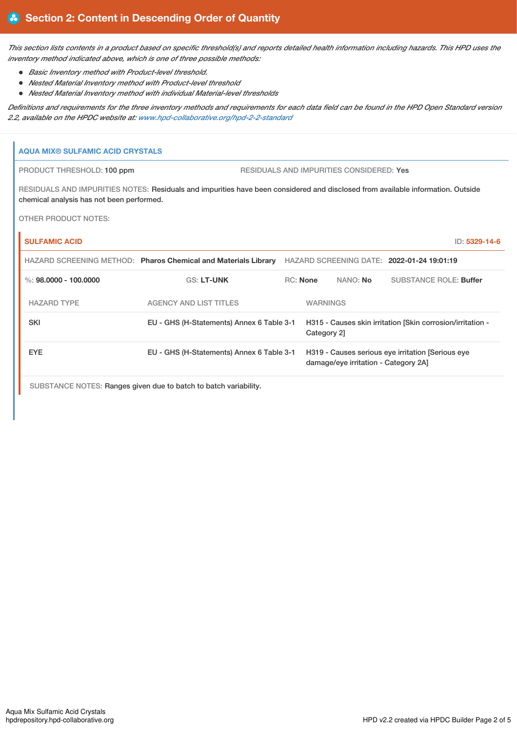This section lists contents in a product based on specific threshold(s) and reports detailed health information including hazards. This HPD uses the *inventory method indicated above, which is one of three possible methods:*

- *Basic Inventory method with Product-level threshold.*
- *Nested Material Inventory method with Product-level threshold*  $\bullet$
- *Nested Material Inventory method with individual Material-level thresholds*

Definitions and requirements for the three inventory methods and requirements for each data field can be found in the HPD Open Standard version *2.2, available on the HPDC website at: [www.hpd-collaborative.org/hpd-2-2-standard](https://www.hpd-collaborative.org/hpd-2-2-standard)*

# **AQUA MIX® SULFAMIC ACID CRYSTALS**

PRODUCT THRESHOLD: 100 ppm RESIDUALS AND IMPURITIES CONSIDERED: Yes

RESIDUALS AND IMPURITIES NOTES: Residuals and impurities have been considered and disclosed from available information. Outside chemical analysis has not been performed.

OTHER PRODUCT NOTES:

| <b>SULFAMIC ACID</b>    |                                                                |                 |                                      | ID: 5329-14-6                                              |  |
|-------------------------|----------------------------------------------------------------|-----------------|--------------------------------------|------------------------------------------------------------|--|
|                         | HAZARD SCREENING METHOD: Pharos Chemical and Materials Library |                 |                                      | HAZARD SCREENING DATE: 2022-01-24 19:01:19                 |  |
| %: $98.0000 - 100.0000$ | <b>GS: LT-UNK</b>                                              | $RC:$ None      | NANO: No                             | SUBSTANCE ROLE: Buffer                                     |  |
| <b>HAZARD TYPE</b>      | <b>AGENCY AND LIST TITLES</b>                                  | <b>WARNINGS</b> |                                      |                                                            |  |
| <b>SKI</b>              | EU - GHS (H-Statements) Annex 6 Table 3-1                      | Category 2]     |                                      | H315 - Causes skin irritation [Skin corrosion/irritation - |  |
| <b>EYE</b>              | EU - GHS (H-Statements) Annex 6 Table 3-1                      |                 | damage/eye irritation - Category 2A] | H319 - Causes serious eye irritation [Serious eye          |  |
|                         |                                                                |                 |                                      |                                                            |  |

SUBSTANCE NOTES: Ranges given due to batch to batch variability.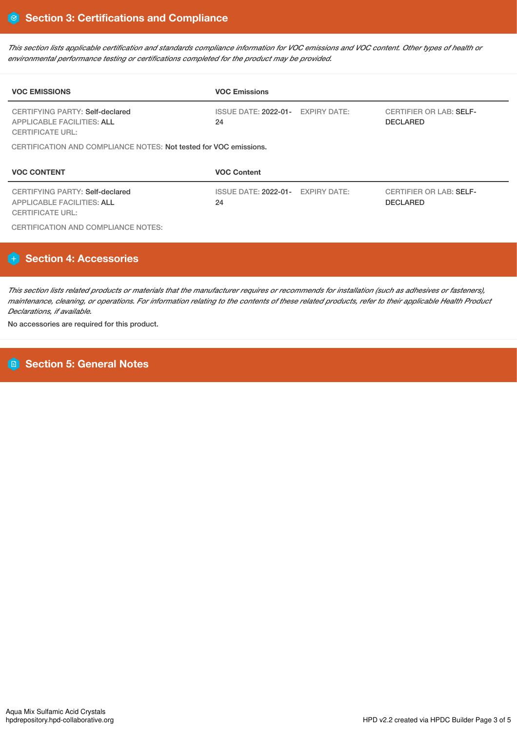This section lists applicable certification and standards compliance information for VOC emissions and VOC content. Other types of health or *environmental performance testing or certifications completed for the product may be provided.*

| <b>VOC EMISSIONS</b>                                                                                   | <b>VOC Emissions</b>                    |                                                   |
|--------------------------------------------------------------------------------------------------------|-----------------------------------------|---------------------------------------------------|
| CERTIFYING PARTY: Self-declared<br><b>APPLICABLE FACILITIES: ALL</b><br><b>CERTIFICATE URL:</b>        | ISSUE DATE: 2022-01- EXPIRY DATE:<br>24 | <b>CERTIFIER OR LAB: SELF-</b><br><b>DECLARED</b> |
| CERTIFICATION AND COMPLIANCE NOTES: Not tested for VOC emissions.                                      |                                         |                                                   |
|                                                                                                        |                                         |                                                   |
| <b>VOC CONTENT</b>                                                                                     | <b>VOC Content</b>                      |                                                   |
| <b>CERTIFYING PARTY: Self-declared</b><br><b>APPLICABLE FACILITIES: ALL</b><br><b>CERTIFICATE URL:</b> | ISSUE DATE: 2022-01- EXPIRY DATE:<br>24 | <b>CERTIFIER OR LAB: SELF-</b><br><b>DECLARED</b> |

# **Section 4: Accessories**

This section lists related products or materials that the manufacturer requires or recommends for installation (such as adhesives or fasteners), maintenance, cleaning, or operations. For information relating to the contents of these related products, refer to their applicable Health Product *Declarations, if available.*

No accessories are required for this product.

# **Section 5: General Notes**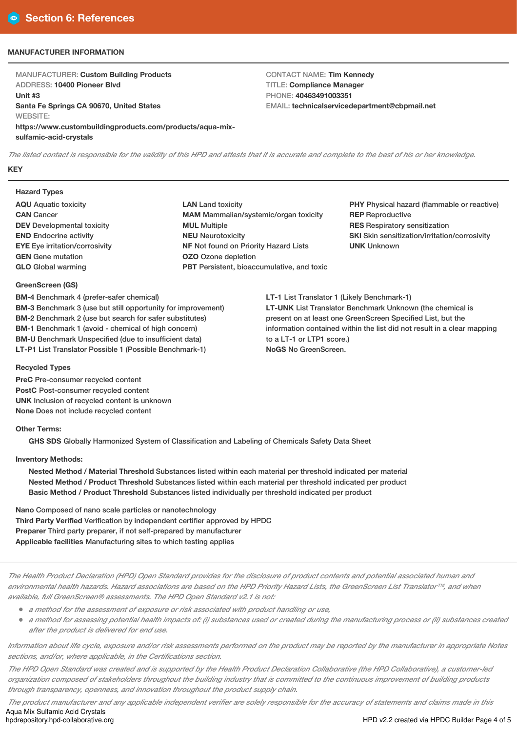## **MANUFACTURER INFORMATION**

MANUFACTURER: **Custom Building Products** ADDRESS: **10400 Pioneer Blvd Unit #3 Santa Fe Springs CA 90670, United States** WEBSITE: **https://www.custombuildingproducts.com/products/aqua-mixsulfamic-acid-crystals**

CONTACT NAME: **Tim Kennedy** TITLE: **Compliance Manager** PHONE: **40463491003351** EMAIL: **technicalservicedepartment@cbpmail.net**

The listed contact is responsible for the validity of this HPD and attests that it is accurate and complete to the best of his or her knowledge. **KEY**

# **Hazard Types**

- **AQU** Aquatic toxicity **CAN** Cancer **DEV** Developmental toxicity **END** Endocrine activity **EYE** Eye irritation/corrosivity **GEN** Gene mutation **GLO** Global warming
- **LAN** Land toxicity **MAM** Mammalian/systemic/organ toxicity **MUL** Multiple **NEU** Neurotoxicity **NF** Not found on Priority Hazard Lists **OZO** Ozone depletion **PBT** Persistent, bioaccumulative, and toxic

**PHY** Physical hazard (flammable or reactive) **REP** Reproductive **RES** Respiratory sensitization **SKI** Skin sensitization/irritation/corrosivity **UNK** Unknown

**LT-1** List Translator 1 (Likely Benchmark-1) **LT-UNK** List Translator Benchmark Unknown (the chemical is present on at least one GreenScreen Specified List, but the information contained within the list did not result in a clear mapping to a LT-1 or LTP1 score.) **NoGS** No GreenScreen.

**GreenScreen (GS)**

**BM-3** Benchmark 3 (use but still opportunity for improvement) **BM-2** Benchmark 2 (use but search for safer substitutes) **BM-1** Benchmark 1 (avoid - chemical of high concern) **BM-U** Benchmark Unspecified (due to insufficient data) **LT-P1** List Translator Possible 1 (Possible Benchmark-1)

# **Recycled Types**

**PreC** Pre-consumer recycled content **PostC** Post-consumer recycled content **UNK** Inclusion of recycled content is unknown **None** Does not include recycled content

**BM-4** Benchmark 4 (prefer-safer chemical)

# **Other Terms:**

**GHS SDS** Globally Harmonized System of Classification and Labeling of Chemicals Safety Data Sheet

# **Inventory Methods:**

**Nested Method / Material Threshold** Substances listed within each material per threshold indicated per material **Nested Method / Product Threshold** Substances listed within each material per threshold indicated per product **Basic Method / Product Threshold** Substances listed individually per threshold indicated per product

**Nano** Composed of nano scale particles or nanotechnology **Third Party Verified** Verification by independent certifier approved by HPDC **Preparer** Third party preparer, if not self-prepared by manufacturer **Applicable facilities** Manufacturing sites to which testing applies

The Health Product Declaration (HPD) Open Standard provides for the disclosure of product contents and potential associated human and environmental health hazards. Hazard associations are based on the HPD Priority Hazard Lists, the GreenScreen List Translator™, and when *available, full GreenScreen® assessments. The HPD Open Standard v2.1 is not:*

- *<sup>a</sup> method for the assessment of exposure or risk associated with product handling or use,*
- a method for assessing potential health impacts of: (i) substances used or created during the manufacturing process or (ii) substances created *after the product is delivered for end use.*

Information about life cycle, exposure and/or risk assessments performed on the product may be reported by the manufacturer in appropriate Notes *sections, and/or, where applicable, in the Certifications section.*

The HPD Open Standard was created and is supported by the Health Product Declaration Collaborative (the HPD Collaborative), a customer-led organization composed of stakeholders throughout the building industry that is committed to the continuous improvement of building products *through transparency, openness, and innovation throughout the product supply chain.*

The product manufacturer and any applicable independent verifier are solely responsible for the accuracy of statements and claims made in this